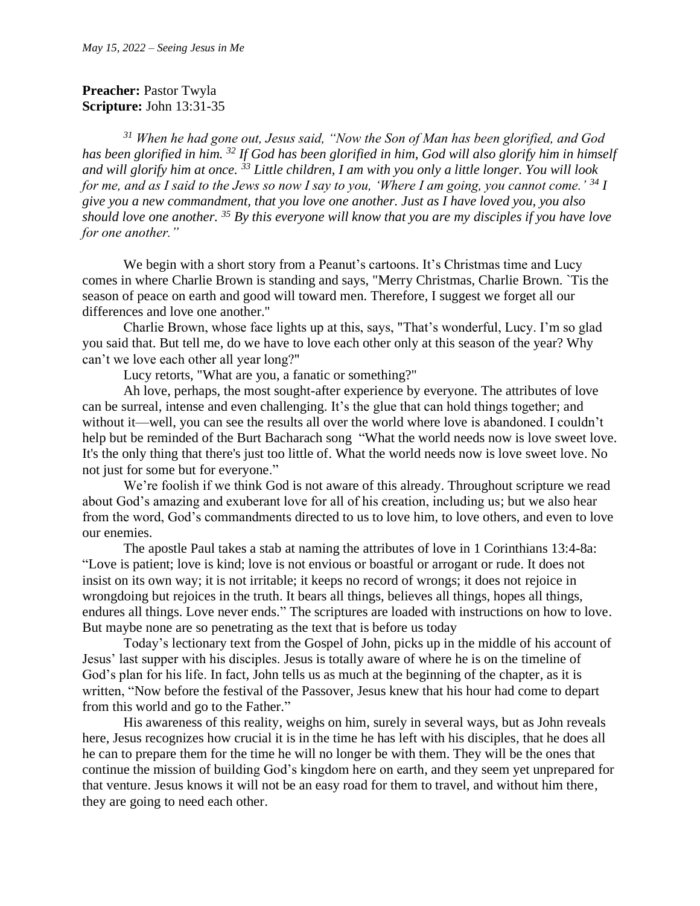## **Preacher: Pastor Twyla Scripture:** John 13:31-35

*<sup>31</sup> When he had gone out, Jesus said, "Now the Son of Man has been glorified, and God has been glorified in him. <sup>32</sup> If God has been glorified in him, God will also glorify him in himself and will glorify him at once. <sup>33</sup> Little children, I am with you only a little longer. You will look for me, and as I said to the Jews so now I say to you, 'Where I am going, you cannot come.' <sup>34</sup> I give you a new commandment, that you love one another. Just as I have loved you, you also should love one another. <sup>35</sup> By this everyone will know that you are my disciples if you have love for one another."*

We begin with a short story from a Peanut's cartoons. It's Christmas time and Lucy comes in where Charlie Brown is standing and says, "Merry Christmas, Charlie Brown. `Tis the season of peace on earth and good will toward men. Therefore, I suggest we forget all our differences and love one another."

Charlie Brown, whose face lights up at this, says, "That's wonderful, Lucy. I'm so glad you said that. But tell me, do we have to love each other only at this season of the year? Why can't we love each other all year long?"

Lucy retorts, "What are you, a fanatic or something?"

Ah love, perhaps, the most sought-after experience by everyone. The attributes of love can be surreal, intense and even challenging. It's the glue that can hold things together; and without it—well, you can see the results all over the world where love is abandoned. I couldn't help but be reminded of the Burt Bacharach song "What the world needs now is love sweet love. It's the only thing that there's just too little of. What the world needs now is love sweet love. No not just for some but for everyone."

We're foolish if we think God is not aware of this already. Throughout scripture we read about God's amazing and exuberant love for all of his creation, including us; but we also hear from the word, God's commandments directed to us to love him, to love others, and even to love our enemies.

The apostle Paul takes a stab at naming the attributes of love in 1 Corinthians 13:4-8a: "Love is patient; love is kind; love is not envious or boastful or arrogant or rude. It does not insist on its own way; it is not irritable; it keeps no record of wrongs; it does not rejoice in wrongdoing but rejoices in the truth. It bears all things, believes all things, hopes all things, endures all things. Love never ends." The scriptures are loaded with instructions on how to love. But maybe none are so penetrating as the text that is before us today

Today's lectionary text from the Gospel of John, picks up in the middle of his account of Jesus' last supper with his disciples. Jesus is totally aware of where he is on the timeline of God's plan for his life. In fact, John tells us as much at the beginning of the chapter, as it is written, "Now before the festival of the Passover, Jesus knew that his hour had come to depart from this world and go to the Father."

His awareness of this reality, weighs on him, surely in several ways, but as John reveals here, Jesus recognizes how crucial it is in the time he has left with his disciples, that he does all he can to prepare them for the time he will no longer be with them. They will be the ones that continue the mission of building God's kingdom here on earth, and they seem yet unprepared for that venture. Jesus knows it will not be an easy road for them to travel, and without him there, they are going to need each other.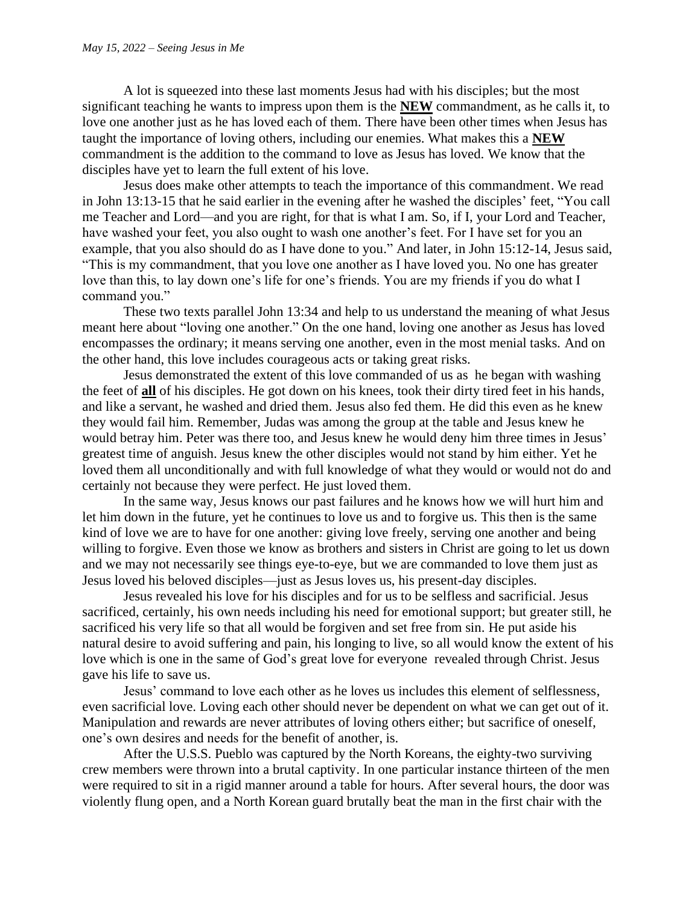A lot is squeezed into these last moments Jesus had with his disciples; but the most significant teaching he wants to impress upon them is the **NEW** commandment, as he calls it, to love one another just as he has loved each of them. There have been other times when Jesus has taught the importance of loving others, including our enemies. What makes this a **NEW** commandment is the addition to the command to love as Jesus has loved. We know that the disciples have yet to learn the full extent of his love.

Jesus does make other attempts to teach the importance of this commandment. We read in John 13:13-15 that he said earlier in the evening after he washed the disciples' feet, "You call me Teacher and Lord—and you are right, for that is what I am. So, if I, your Lord and Teacher, have washed your feet, you also ought to wash one another's feet. For I have set for you an example, that you also should do as I have done to you." And later, in John 15:12-14, Jesus said, "This is my commandment, that you love one another as I have loved you. No one has greater love than this, to lay down one's life for one's friends. You are my friends if you do what I command you."

These two texts parallel John 13:34 and help to us understand the meaning of what Jesus meant here about "loving one another." On the one hand, loving one another as Jesus has loved encompasses the ordinary; it means serving one another, even in the most menial tasks. And on the other hand, this love includes courageous acts or taking great risks.

Jesus demonstrated the extent of this love commanded of us as he began with washing the feet of **all** of his disciples. He got down on his knees, took their dirty tired feet in his hands, and like a servant, he washed and dried them. Jesus also fed them. He did this even as he knew they would fail him. Remember, Judas was among the group at the table and Jesus knew he would betray him. Peter was there too, and Jesus knew he would deny him three times in Jesus' greatest time of anguish. Jesus knew the other disciples would not stand by him either. Yet he loved them all unconditionally and with full knowledge of what they would or would not do and certainly not because they were perfect. He just loved them.

In the same way, Jesus knows our past failures and he knows how we will hurt him and let him down in the future, yet he continues to love us and to forgive us. This then is the same kind of love we are to have for one another: giving love freely, serving one another and being willing to forgive. Even those we know as brothers and sisters in Christ are going to let us down and we may not necessarily see things eye-to-eye, but we are commanded to love them just as Jesus loved his beloved disciples—just as Jesus loves us, his present-day disciples.

Jesus revealed his love for his disciples and for us to be selfless and sacrificial. Jesus sacrificed, certainly, his own needs including his need for emotional support; but greater still, he sacrificed his very life so that all would be forgiven and set free from sin. He put aside his natural desire to avoid suffering and pain, his longing to live, so all would know the extent of his love which is one in the same of God's great love for everyone revealed through Christ. Jesus gave his life to save us.

Jesus' command to love each other as he loves us includes this element of selflessness, even sacrificial love. Loving each other should never be dependent on what we can get out of it. Manipulation and rewards are never attributes of loving others either; but sacrifice of oneself, one's own desires and needs for the benefit of another, is.

After the U.S.S. Pueblo was captured by the North Koreans, the eighty-two surviving crew members were thrown into a brutal captivity. In one particular instance thirteen of the men were required to sit in a rigid manner around a table for hours. After several hours, the door was violently flung open, and a North Korean guard brutally beat the man in the first chair with the